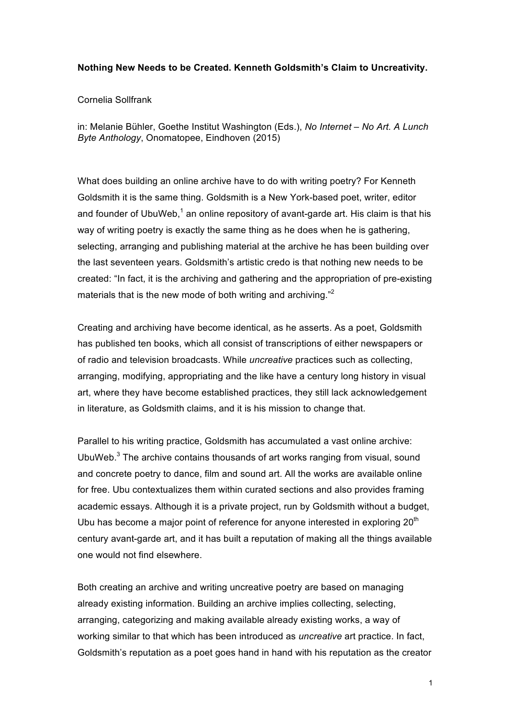## **Nothing New Needs to be Created. Kenneth Goldsmith's Claim to Uncreativity.**

# Cornelia Sollfrank

in: Melanie Bühler, Goethe Institut Washington (Eds.), *No Internet – No Art. A Lunch Byte Anthology*, Onomatopee, Eindhoven (2015)

What does building an online archive have to do with writing poetry? For Kenneth Goldsmith it is the same thing. Goldsmith is a New York-based poet, writer, editor and founder of UbuWeb,<sup>1</sup> an online repository of avant-garde art. His claim is that his way of writing poetry is exactly the same thing as he does when he is gathering. selecting, arranging and publishing material at the archive he has been building over the last seventeen years. Goldsmith's artistic credo is that nothing new needs to be created: "In fact, it is the archiving and gathering and the appropriation of pre-existing materials that is the new mode of both writing and archiving."<sup>2</sup>

Creating and archiving have become identical, as he asserts. As a poet, Goldsmith has published ten books, which all consist of transcriptions of either newspapers or of radio and television broadcasts. While *uncreative* practices such as collecting, arranging, modifying, appropriating and the like have a century long history in visual art, where they have become established practices, they still lack acknowledgement in literature, as Goldsmith claims, and it is his mission to change that.

Parallel to his writing practice, Goldsmith has accumulated a vast online archive: UbuWeb.<sup>3</sup> The archive contains thousands of art works ranging from visual, sound and concrete poetry to dance, film and sound art. All the works are available online for free. Ubu contextualizes them within curated sections and also provides framing academic essays. Although it is a private project, run by Goldsmith without a budget, Ubu has become a major point of reference for anyone interested in exploring  $20<sup>th</sup>$ century avant-garde art, and it has built a reputation of making all the things available one would not find elsewhere.

Both creating an archive and writing uncreative poetry are based on managing already existing information. Building an archive implies collecting, selecting, arranging, categorizing and making available already existing works, a way of working similar to that which has been introduced as *uncreative* art practice. In fact, Goldsmith's reputation as a poet goes hand in hand with his reputation as the creator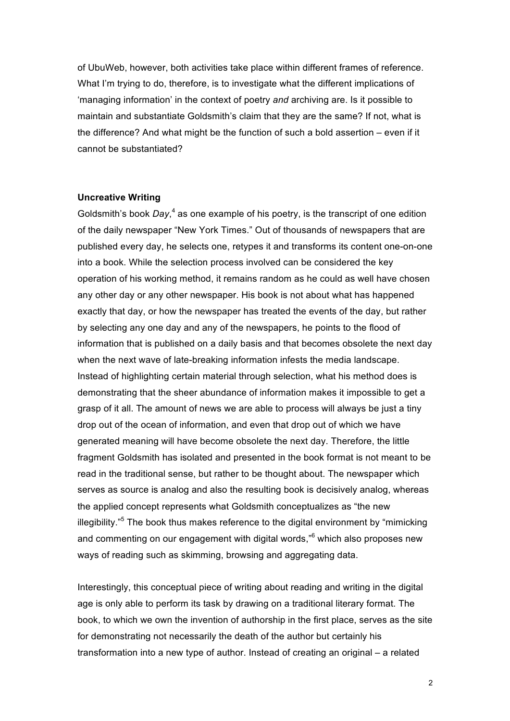of UbuWeb, however, both activities take place within different frames of reference. What I'm trying to do, therefore, is to investigate what the different implications of 'managing information' in the context of poetry *and* archiving are. Is it possible to maintain and substantiate Goldsmith's claim that they are the same? If not, what is the difference? And what might be the function of such a bold assertion  $-$  even if it cannot be substantiated?

### **Uncreative Writing**

Goldsmith's book *Day*, <sup>4</sup> as one example of his poetry, is the transcript of one edition of the daily newspaper "New York Times." Out of thousands of newspapers that are published every day, he selects one, retypes it and transforms its content one-on-one into a book. While the selection process involved can be considered the key operation of his working method, it remains random as he could as well have chosen any other day or any other newspaper. His book is not about what has happened exactly that day, or how the newspaper has treated the events of the day, but rather by selecting any one day and any of the newspapers, he points to the flood of information that is published on a daily basis and that becomes obsolete the next day when the next wave of late-breaking information infests the media landscape. Instead of highlighting certain material through selection, what his method does is demonstrating that the sheer abundance of information makes it impossible to get a grasp of it all. The amount of news we are able to process will always be just a tiny drop out of the ocean of information, and even that drop out of which we have generated meaning will have become obsolete the next day. Therefore, the little fragment Goldsmith has isolated and presented in the book format is not meant to be read in the traditional sense, but rather to be thought about. The newspaper which serves as source is analog and also the resulting book is decisively analog, whereas the applied concept represents what Goldsmith conceptualizes as "the new illegibility."<sup>5</sup> The book thus makes reference to the digital environment by "mimicking and commenting on our engagement with digital words," <sup>6</sup> which also proposes new ways of reading such as skimming, browsing and aggregating data.

Interestingly, this conceptual piece of writing about reading and writing in the digital age is only able to perform its task by drawing on a traditional literary format. The book, to which we own the invention of authorship in the first place, serves as the site for demonstrating not necessarily the death of the author but certainly his transformation into a new type of author. Instead of creating an original – a related

2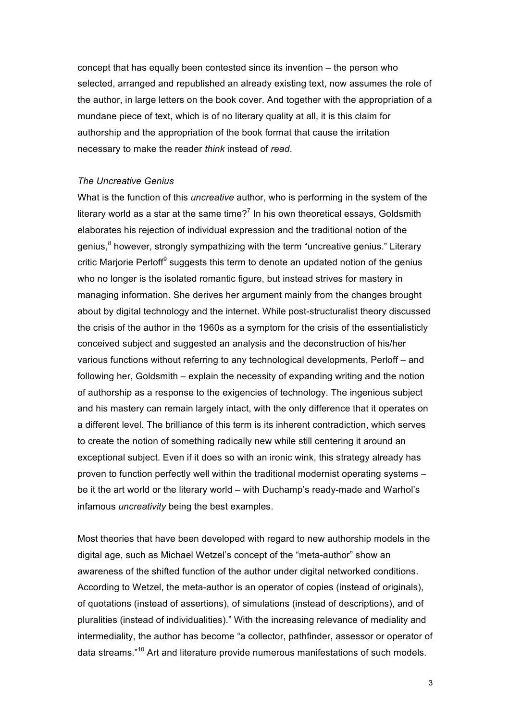concept that has equally been contested since its invention – the person who selected, arranged and republished an already existing text, now assumes the role of the author, in large letters on the book cover. And together with the appropriation of a mundane piece of text, which is of no literary quality at all, it is this claim for authorship and the appropriation of the book format that cause the irritation necessary to make the reader *think* instead of *read*.

## *The Uncreative Genius*

What is the function of this *uncreative* author, who is performing in the system of the literary world as a star at the same time?<sup>7</sup> In his own theoretical essays, Goldsmith elaborates his rejection of individual expression and the traditional notion of the genius,<sup>8</sup> however, strongly sympathizing with the term "uncreative genius." Literary critic Marjorie Perloff $\theta$  suggests this term to denote an updated notion of the genius who no longer is the isolated romantic figure, but instead strives for mastery in managing information. She derives her argument mainly from the changes brought about by digital technology and the internet. While post-structuralist theory discussed the crisis of the author in the 1960s as a symptom for the crisis of the essentialisticly conceived subject and suggested an analysis and the deconstruction of his/her various functions without referring to any technological developments, Perloff – and following her, Goldsmith – explain the necessity of expanding writing and the notion of authorship as a response to the exigencies of technology. The ingenious subject and his mastery can remain largely intact, with the only difference that it operates on a different level. The brilliance of this term is its inherent contradiction, which serves to create the notion of something radically new while still centering it around an exceptional subject. Even if it does so with an ironic wink, this strategy already has proven to function perfectly well within the traditional modernist operating systems – be it the art world or the literary world – with Duchamp's ready-made and Warhol's infamous *uncreativity* being the best examples.

Most theories that have been developed with regard to new authorship models in the digital age, such as Michael Wetzel's concept of the "meta-author" show an awareness of the shifted function of the author under digital networked conditions. According to Wetzel, the meta-author is an operator of copies (instead of originals), of quotations (instead of assertions), of simulations (instead of descriptions), and of pluralities (instead of individualities)." With the increasing relevance of mediality and intermediality, the author has become "a collector, pathfinder, assessor or operator of data streams."<sup>10</sup> Art and literature provide numerous manifestations of such models.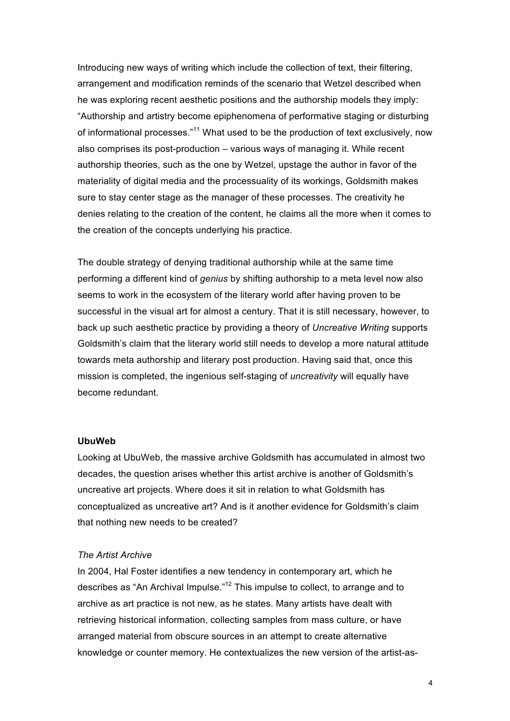Introducing new ways of writing which include the collection of text, their filtering, arrangement and modification reminds of the scenario that Wetzel described when he was exploring recent aesthetic positions and the authorship models they imply: "Authorship and artistry become epiphenomena of performative staging or disturbing of informational processes."<sup>11</sup> What used to be the production of text exclusively, now also comprises its post-production – various ways of managing it. While recent authorship theories, such as the one by Wetzel, upstage the author in favor of the materiality of digital media and the processuality of its workings, Goldsmith makes sure to stay center stage as the manager of these processes. The creativity he denies relating to the creation of the content, he claims all the more when it comes to the creation of the concepts underlying his practice.

The double strategy of denying traditional authorship while at the same time performing a different kind of *genius* by shifting authorship to a meta level now also seems to work in the ecosystem of the literary world after having proven to be successful in the visual art for almost a century. That it is still necessary, however, to back up such aesthetic practice by providing a theory of *Uncreative Writing* supports Goldsmith's claim that the literary world still needs to develop a more natural attitude towards meta authorship and literary post production. Having said that, once this mission is completed, the ingenious self-staging of *uncreativity* will equally have become redundant.

## **UbuWeb**

Looking at UbuWeb, the massive archive Goldsmith has accumulated in almost two decades, the question arises whether this artist archive is another of Goldsmith's uncreative art projects. Where does it sit in relation to what Goldsmith has conceptualized as uncreative art? And is it another evidence for Goldsmith's claim that nothing new needs to be created?

### *The Artist Archive*

In 2004, Hal Foster identifies a new tendency in contemporary art, which he describes as "An Archival Impulse."<sup>12</sup> This impulse to collect, to arrange and to archive as art practice is not new, as he states. Many artists have dealt with retrieving historical information, collecting samples from mass culture, or have arranged material from obscure sources in an attempt to create alternative knowledge or counter memory. He contextualizes the new version of the artist-as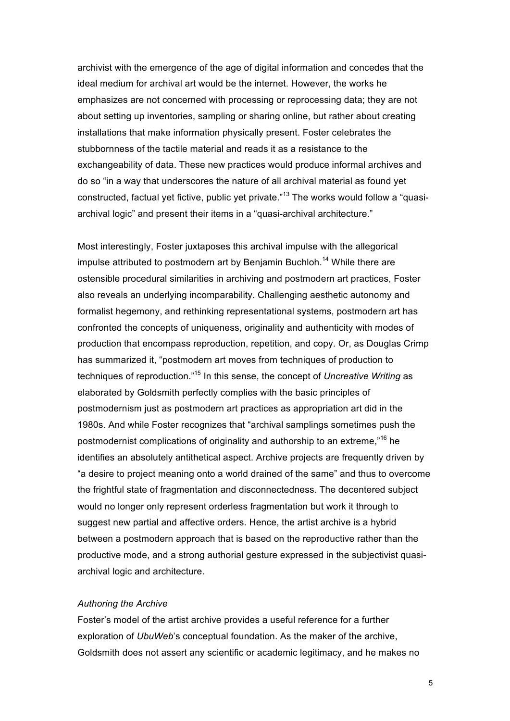archivist with the emergence of the age of digital information and concedes that the ideal medium for archival art would be the internet. However, the works he emphasizes are not concerned with processing or reprocessing data; they are not about setting up inventories, sampling or sharing online, but rather about creating installations that make information physically present. Foster celebrates the stubbornness of the tactile material and reads it as a resistance to the exchangeability of data. These new practices would produce informal archives and do so "in a way that underscores the nature of all archival material as found yet constructed, factual yet fictive, public yet private."<sup>13</sup> The works would follow a "quasiarchival logic" and present their items in a "quasi-archival architecture."

Most interestingly, Foster juxtaposes this archival impulse with the allegorical impulse attributed to postmodern art by Benjamin Buchloh.<sup>14</sup> While there are ostensible procedural similarities in archiving and postmodern art practices, Foster also reveals an underlying incomparability. Challenging aesthetic autonomy and formalist hegemony, and rethinking representational systems, postmodern art has confronted the concepts of uniqueness, originality and authenticity with modes of production that encompass reproduction, repetition, and copy. Or, as Douglas Crimp has summarized it, "postmodern art moves from techniques of production to techniques of reproduction." <sup>15</sup> In this sense, the concept of *Uncreative Writing* as elaborated by Goldsmith perfectly complies with the basic principles of postmodernism just as postmodern art practices as appropriation art did in the 1980s. And while Foster recognizes that "archival samplings sometimes push the postmodernist complications of originality and authorship to an extreme,"<sup>16</sup> he identifies an absolutely antithetical aspect. Archive projects are frequently driven by "a desire to project meaning onto a world drained of the same" and thus to overcome the frightful state of fragmentation and disconnectedness. The decentered subject would no longer only represent orderless fragmentation but work it through to suggest new partial and affective orders. Hence, the artist archive is a hybrid between a postmodern approach that is based on the reproductive rather than the productive mode, and a strong authorial gesture expressed in the subjectivist quasiarchival logic and architecture.

## *Authoring the Archive*

Foster's model of the artist archive provides a useful reference for a further exploration of *UbuWeb*'s conceptual foundation. As the maker of the archive, Goldsmith does not assert any scientific or academic legitimacy, and he makes no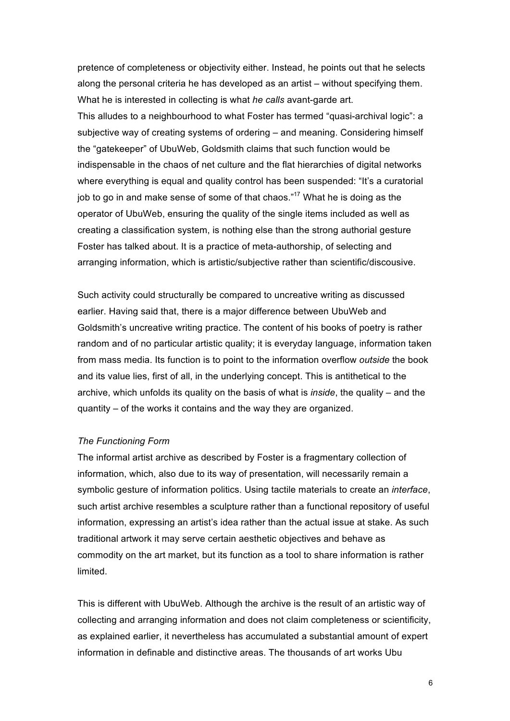pretence of completeness or objectivity either. Instead, he points out that he selects along the personal criteria he has developed as an artist – without specifying them. What he is interested in collecting is what *he calls* avant-garde art. This alludes to a neighbourhood to what Foster has termed "quasi-archival logic": a subjective way of creating systems of ordering – and meaning. Considering himself the "gatekeeper" of UbuWeb, Goldsmith claims that such function would be indispensable in the chaos of net culture and the flat hierarchies of digital networks where everything is equal and quality control has been suspended: "It's a curatorial job to go in and make sense of some of that chaos."<sup>17</sup> What he is doing as the operator of UbuWeb, ensuring the quality of the single items included as well as creating a classification system, is nothing else than the strong authorial gesture Foster has talked about. It is a practice of meta-authorship, of selecting and arranging information, which is artistic/subjective rather than scientific/discousive.

Such activity could structurally be compared to uncreative writing as discussed earlier. Having said that, there is a major difference between UbuWeb and Goldsmith's uncreative writing practice. The content of his books of poetry is rather random and of no particular artistic quality; it is everyday language, information taken from mass media. Its function is to point to the information overflow *outside* the book and its value lies, first of all, in the underlying concept. This is antithetical to the archive, which unfolds its quality on the basis of what is *inside*, the quality – and the quantity – of the works it contains and the way they are organized.

### *The Functioning Form*

The informal artist archive as described by Foster is a fragmentary collection of information, which, also due to its way of presentation, will necessarily remain a symbolic gesture of information politics. Using tactile materials to create an *interface*, such artist archive resembles a sculpture rather than a functional repository of useful information, expressing an artist's idea rather than the actual issue at stake. As such traditional artwork it may serve certain aesthetic objectives and behave as commodity on the art market, but its function as a tool to share information is rather limited.

This is different with UbuWeb. Although the archive is the result of an artistic way of collecting and arranging information and does not claim completeness or scientificity, as explained earlier, it nevertheless has accumulated a substantial amount of expert information in definable and distinctive areas. The thousands of art works Ubu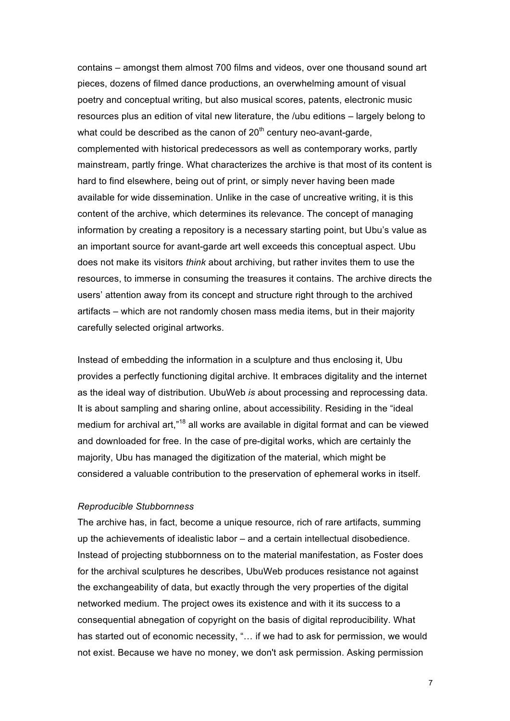contains – amongst them almost 700 films and videos, over one thousand sound art pieces, dozens of filmed dance productions, an overwhelming amount of visual poetry and conceptual writing, but also musical scores, patents, electronic music resources plus an edition of vital new literature, the /ubu editions – largely belong to what could be described as the canon of  $20<sup>th</sup>$  century neo-avant-garde, complemented with historical predecessors as well as contemporary works, partly mainstream, partly fringe. What characterizes the archive is that most of its content is hard to find elsewhere, being out of print, or simply never having been made available for wide dissemination. Unlike in the case of uncreative writing, it is this content of the archive, which determines its relevance. The concept of managing information by creating a repository is a necessary starting point, but Ubu's value as an important source for avant-garde art well exceeds this conceptual aspect. Ubu does not make its visitors *think* about archiving, but rather invites them to use the resources, to immerse in consuming the treasures it contains. The archive directs the users' attention away from its concept and structure right through to the archived artifacts – which are not randomly chosen mass media items, but in their majority carefully selected original artworks.

Instead of embedding the information in a sculpture and thus enclosing it, Ubu provides a perfectly functioning digital archive. It embraces digitality and the internet as the ideal way of distribution. UbuWeb *is* about processing and reprocessing data. It is about sampling and sharing online, about accessibility. Residing in the "ideal medium for archival art,"<sup>18</sup> all works are available in digital format and can be viewed and downloaded for free. In the case of pre-digital works, which are certainly the majority, Ubu has managed the digitization of the material, which might be considered a valuable contribution to the preservation of ephemeral works in itself.

### *Reproducible Stubbornness*

The archive has, in fact, become a unique resource, rich of rare artifacts, summing up the achievements of idealistic labor – and a certain intellectual disobedience. Instead of projecting stubbornness on to the material manifestation, as Foster does for the archival sculptures he describes, UbuWeb produces resistance not against the exchangeability of data, but exactly through the very properties of the digital networked medium. The project owes its existence and with it its success to a consequential abnegation of copyright on the basis of digital reproducibility. What has started out of economic necessity, "... if we had to ask for permission, we would not exist. Because we have no money, we don't ask permission. Asking permission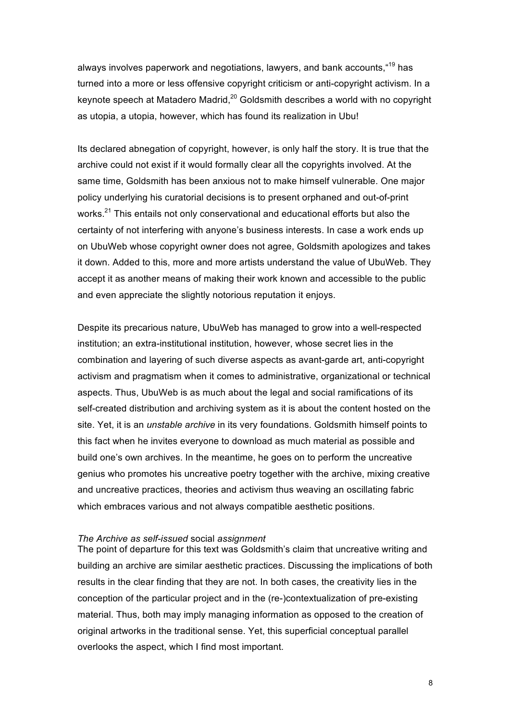always involves paperwork and negotiations, lawyers, and bank accounts, "<sup>19</sup> has turned into a more or less offensive copyright criticism or anti-copyright activism. In a keynote speech at Matadero Madrid, $20$  Goldsmith describes a world with no copyright as utopia, a utopia, however, which has found its realization in Ubu!

Its declared abnegation of copyright, however, is only half the story. It is true that the archive could not exist if it would formally clear all the copyrights involved. At the same time, Goldsmith has been anxious not to make himself vulnerable. One major policy underlying his curatorial decisions is to present orphaned and out-of-print works.<sup>21</sup> This entails not only conservational and educational efforts but also the certainty of not interfering with anyone's business interests. In case a work ends up on UbuWeb whose copyright owner does not agree, Goldsmith apologizes and takes it down. Added to this, more and more artists understand the value of UbuWeb. They accept it as another means of making their work known and accessible to the public and even appreciate the slightly notorious reputation it enjoys.

Despite its precarious nature, UbuWeb has managed to grow into a well-respected institution; an extra-institutional institution, however, whose secret lies in the combination and layering of such diverse aspects as avant-garde art, anti-copyright activism and pragmatism when it comes to administrative, organizational or technical aspects. Thus, UbuWeb is as much about the legal and social ramifications of its self-created distribution and archiving system as it is about the content hosted on the site. Yet, it is an *unstable archive* in its very foundations. Goldsmith himself points to this fact when he invites everyone to download as much material as possible and build one's own archives. In the meantime, he goes on to perform the uncreative genius who promotes his uncreative poetry together with the archive, mixing creative and uncreative practices, theories and activism thus weaving an oscillating fabric which embraces various and not always compatible aesthetic positions.

#### *The Archive as self-issued* social *assignment*

The point of departure for this text was Goldsmith's claim that uncreative writing and building an archive are similar aesthetic practices. Discussing the implications of both results in the clear finding that they are not. In both cases, the creativity lies in the conception of the particular project and in the (re-)contextualization of pre-existing material. Thus, both may imply managing information as opposed to the creation of original artworks in the traditional sense. Yet, this superficial conceptual parallel overlooks the aspect, which I find most important.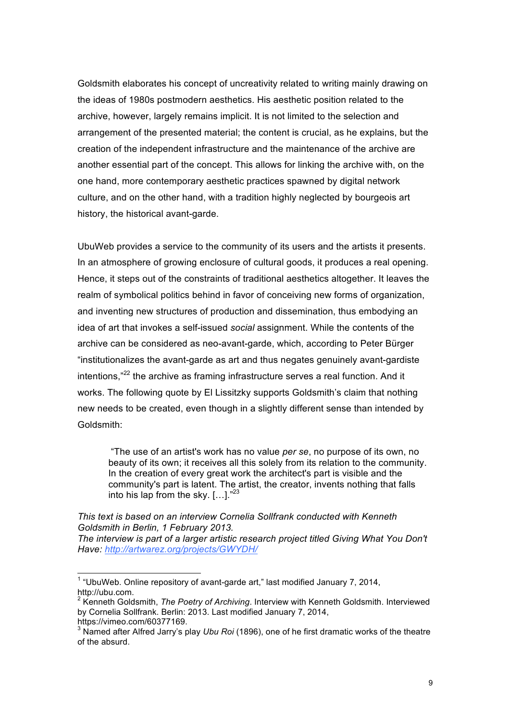Goldsmith elaborates his concept of uncreativity related to writing mainly drawing on the ideas of 1980s postmodern aesthetics. His aesthetic position related to the archive, however, largely remains implicit. It is not limited to the selection and arrangement of the presented material; the content is crucial, as he explains, but the creation of the independent infrastructure and the maintenance of the archive are another essential part of the concept. This allows for linking the archive with, on the one hand, more contemporary aesthetic practices spawned by digital network culture, and on the other hand, with a tradition highly neglected by bourgeois art history, the historical avant-garde.

UbuWeb provides a service to the community of its users and the artists it presents. In an atmosphere of growing enclosure of cultural goods, it produces a real opening. Hence, it steps out of the constraints of traditional aesthetics altogether. It leaves the realm of symbolical politics behind in favor of conceiving new forms of organization, and inventing new structures of production and dissemination, thus embodying an idea of art that invokes a self-issued *social* assignment. While the contents of the archive can be considered as neo-avant-garde, which, according to Peter Bürger "institutionalizes the avant-garde as art and thus negates genuinely avant-gardiste intentions,"<sup>22</sup> the archive as framing infrastructure serves a real function. And it works. The following quote by El Lissitzky supports Goldsmith's claim that nothing new needs to be created, even though in a slightly different sense than intended by Goldsmith:

"The use of an artist's work has no value *per se*, no purpose of its own, no beauty of its own; it receives all this solely from its relation to the community. In the creation of every great work the architect's part is visible and the community's part is latent. The artist, the creator, invents nothing that falls into his lap from the sky. [...]."<sup>23</sup>

*This text is based on an interview Cornelia Sollfrank conducted with Kenneth Goldsmith in Berlin, 1 February 2013.*

*The interview is part of a larger artistic research project titled Giving What You Don't Have: http://artwarez.org/projects/GWYDH/*

 $1$  "UbuWeb. Online repository of avant-garde art," last modified January 7, 2014, http://ubu.com.

<sup>2</sup> Kenneth Goldsmith, *The Poetry of Archiving*. Interview with Kenneth Goldsmith. Interviewed by Cornelia Sollfrank. Berlin: 2013. Last modified January 7, 2014, https://vimeo.com/60377169.

<sup>3</sup> Named after Alfred Jarry's play *Ubu Roi* (1896), one of he first dramatic works of the theatre of the absurd.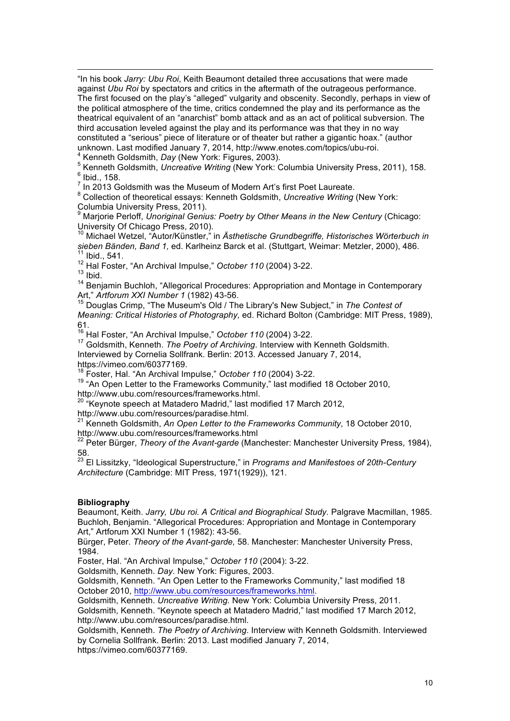<u> 1989 - Andrea San Andrew Maria (h. 1989).</u><br>1900 - Andrew Maria (h. 1980). "In his book *Jarry: Ubu Roi*, Keith Beaumont detailed three accusations that were made against *Ubu Roi* by spectators and critics in the aftermath of the outrageous performance. The first focused on the play's "alleged" vulgarity and obscenity. Secondly, perhaps in view of the political atmosphere of the time, critics condemned the play and its performance as the theatrical equivalent of an "anarchist" bomb attack and as an act of political subversion. The third accusation leveled against the play and its performance was that they in no way constituted a "serious" piece of literature or of theater but rather a gigantic hoax." (author unknown. Last modified January 7, 2014, http://www.enotes.com/topics/ubu-roi.<br><sup>4</sup> Kenneth Goldsmith, *Day* (New York: Figures, 2003).<br><sup>5</sup> Kenneth Goldsmith, *Uncreative Writing* (New York: Columbia University Press, 2011),

 $<sup>6</sup>$  Ibid., 158.</sup>

7 In 2013 Goldsmith was the Museum of Modern Art's first Poet Laureate.

<sup>8</sup> Collection of theoretical essays: Kenneth Goldsmith, *Uncreative Writing* (New York: Columbia University Press, 2011).

Marjorie Perloff, *Unoriginal Genius: Poetry by Other Means in the New Century (Chicago:* University Of Chicago Press, 2010).

<sup>10</sup> Michael Wetzel, "Autor/Künstler," in *Ästhetische Grundbegriffe, Historisches Wörterbuch in*  sieben Bänden, Band 1, ed. Karlheinz Barck et al. (Stuttgart, Weimar: Metzler, 2000), 486.<br><sup>11</sup> Ibid., 541.

<sup>12</sup> Hal Foster, "An Archival Impulse," *October 110* (2004) 3-22.

 $13$  Ibid.

<sup>14</sup> Benjamin Buchloh, "Allegorical Procedures: Appropriation and Montage in Contemporary<br>Art," Artforum XXI Number 1 (1982) 43-56.

<sup>15</sup> Douglas Crimp, "The Museum's Old / The Library's New Subject," in The Contest of *Meaning: Critical Histories of Photography,* ed. Richard Bolton (Cambridge: MIT Press, 1989), 61.

<sup>16</sup> Hal Foster, "An Archival Impulse," *October 110* (2004) 3-22.

<sup>17</sup> Goldsmith, Kenneth. *The Poetry of Archiving*. Interview with Kenneth Goldsmith.

Interviewed by Cornelia Sollfrank. Berlin: 2013. Accessed January 7, 2014,

https://vimeo.com/60377169.

<sup>18</sup> Foster, Hal. "An Archival Impulse," *October 110* (2004) 3-22.

19 "An Open Letter to the Frameworks Community," last modified 18 October 2010,<br>http://www.ubu.com/resources/frameworks.html.

"Keynote speech at Matadero Madrid," last modified 17 March 2012,

http://www.ubu.com/resources/paradise.html.<br><sup>21</sup> Kenneth Goldsmith, *An Open Letter to the Frameworks Community*, 18 October 2010, http://www.ubu.com/resources/frameworks.html

<sup>22</sup> Peter Bürger, *Theory of the Avant-garde* (Manchester: Manchester University Press, 1984), 58.

<sup>23</sup> El Lissitzky, "Ideological Superstructure," in *Programs and Manifestoes of 20th-Century Architecture* (Cambridge: MIT Press, 1971(1929)), 121.

### **Bibliography**

Beaumont, Keith. *Jarry, Ubu roi. A Critical and Biographical Study.* Palgrave Macmillan, 1985. Buchloh, Benjamin. "Allegorical Procedures: Appropriation and Montage in Contemporary Art," Artforum XXI Number 1 (1982): 43-56.

Bürger, Peter. *Theory of the Avant-garde,* 58. Manchester: Manchester University Press, 1984.

Foster, Hal. "An Archival Impulse," *October 110* (2004): 3-22.

Goldsmith, Kenneth. *Day.* New York: Figures, 2003.

Goldsmith, Kenneth. "An Open Letter to the Frameworks Community," last modified 18 October 2010, http://www.ubu.com/resources/frameworks.html.

Goldsmith, Kenneth. *Uncreative Writing.* New York: Columbia University Press, 2011.

Goldsmith, Kenneth. "Keynote speech at Matadero Madrid," last modified 17 March 2012, http://www.ubu.com/resources/paradise.html.

Goldsmith, Kenneth. *The Poetry of Archiving*. Interview with Kenneth Goldsmith. Interviewed by Cornelia Sollfrank. Berlin: 2013. Last modified January 7, 2014, https://vimeo.com/60377169.